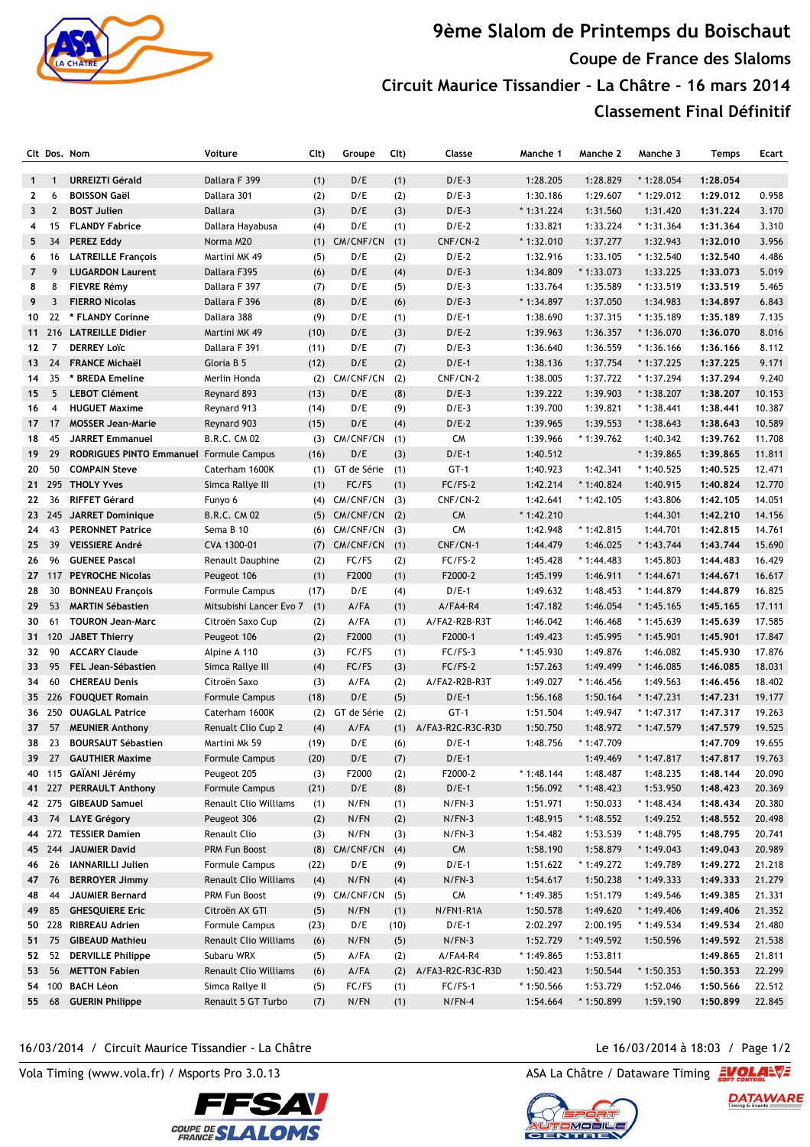

## **9ème Slalom de Printemps du Boischaut Coupe de France des Slaloms Circuit Maurice Tissandier - La Châtre - 16 mars 2014 Classement Final Définitif**

|                 | Clt Dos, Nom   |                                                | Voiture                 | Clt) | Groupe                | Clt) | Classe            | Manche 1    | Manche 2    | Manche 3            | Temps    | Ecart  |
|-----------------|----------------|------------------------------------------------|-------------------------|------|-----------------------|------|-------------------|-------------|-------------|---------------------|----------|--------|
|                 |                |                                                |                         |      |                       |      |                   |             |             |                     |          |        |
| $\mathbf{1}$    | $\mathbf{1}$   | <b>URREIZTI Gérald</b>                         | Dallara F 399           | (1)  | D/E                   | (1)  | $D/E-3$           | 1:28.205    | 1:28.829    | $*1:28.054$         | 1:28.054 |        |
| $\mathbf{2}$    | 6              | <b>BOISSON Gaël</b>                            | Dallara 301             | (2)  | D/E                   | (2)  | $D/E-3$           | 1:30.186    | 1:29.607    | $*1:29.012$         | 1:29.012 | 0.958  |
| $\mathbf{3}$    | $\overline{2}$ | <b>BOST Julien</b>                             | Dallara                 | (3)  | D/E                   | (3)  | $D/E-3$           | $*1:31.224$ | 1:31.560    | 1:31.420            | 1:31.224 | 3.170  |
| 4               | 15             | <b>FLANDY Fabrice</b>                          | Dallara Hayabusa        | (4)  | D/E                   | (1)  | $D/E-2$           | 1:33.821    | 1:33.224    | $*1:31.364$         | 1:31.364 | 3.310  |
| 5               | 34             | <b>PEREZ Eddy</b>                              | Norma M20               | (1)  | CM/CNF/CN             | (1)  | CNF/CN-2          | * 1:32.010  | 1:37.277    | 1:32.943            | 1:32.010 | 3.956  |
| 6               | 16             | <b>LATREILLE François</b>                      | Martini MK 49           | (5)  | D/E                   | (2)  | $D/E-2$           | 1:32.916    | 1:33.105    | $*1:32.540$         | 1:32.540 | 4.486  |
| $\overline{7}$  | 9              | <b>LUGARDON Laurent</b>                        | Dallara F395            | (6)  | D/E                   | (4)  | $D/E-3$           | 1:34.809    | $*1:33.073$ | 1:33.225            | 1:33.073 | 5.019  |
| 8               | 8              | <b>FIEVRE Rémy</b>                             | Dallara F 397           | (7)  | D/E                   | (5)  | $D/E-3$           | 1:33.764    | 1:35.589    | $*1:33.519$         | 1:33.519 | 5.465  |
| 9               | 3              | <b>FIERRO Nicolas</b>                          | Dallara F 396           | (8)  | D/E                   | (6)  | $D/E-3$           | * 1:34.897  | 1:37.050    | 1:34.983            | 1:34.897 | 6.843  |
| 10              | 22             | * FLANDY Corinne                               | Dallara 388             | (9)  | D/E                   | (1)  | $D/E-1$           | 1:38.690    | 1:37.315    | $*1:35.189$         | 1:35.189 | 7.135  |
| 11              |                | 216 LATREILLE Didier                           | Martini MK 49           | (10) | D/E                   | (3)  | $D/E-2$           | 1:39.963    | 1:36.357    | $*1:36.070$         | 1:36.070 | 8.016  |
| 12              | $\overline{7}$ | <b>DERREY Loïc</b>                             | Dallara F 391           | (11) | D/E                   | (7)  | $D/E-3$           | 1:36.640    | 1:36.559    | $*1:36.166$         | 1:36.166 | 8.112  |
| 13              | 24             | <b>FRANCE Michaël</b>                          | Gloria B 5              | (12) | D/E                   | (2)  | $D/E-1$           | 1:38.136    | 1:37.754    | $*1:37.225$         | 1:37.225 | 9.171  |
| 14              | 35             | * BREDA Emeline                                | Merlin Honda            | (2)  | CM/CNF/CN             | (2)  | CNF/CN-2          | 1:38.005    | 1:37.722    | * 1:37.294          | 1:37.294 | 9.240  |
| 15              | 5              | <b>LEBOT Clément</b>                           | Reynard 893             | (13) | D/E                   | (8)  | $D/E-3$           | 1:39.222    | 1:39.903    | $*1:38.207$         | 1:38.207 | 10.153 |
| 16              | $\overline{4}$ | <b>HUGUET Maxime</b>                           | Reynard 913             | (14) | D/E                   | (9)  | $D/E-3$           | 1:39.700    | 1:39.821    | $*1:38.441$         | 1:38.441 | 10.387 |
| 17 <sub>2</sub> | 17             | <b>MOSSER Jean-Marie</b>                       | Reynard 903             | (15) | D/E                   | (4)  | $D/E-2$           | 1:39.965    | 1:39.553    | $*1:38.643$         | 1:38.643 | 10.589 |
| 18              | 45             | <b>JARRET Emmanuel</b>                         | <b>B.R.C. CM 02</b>     |      | $(3)$ CM/CNF/CN $(1)$ |      | CM                | 1:39.966    | $*1:39.762$ | 1:40.342            | 1:39.762 | 11.708 |
| 19              | 29             | <b>RODRIGUES PINTO Emmanuel Formule Campus</b> |                         | (16) | D/E                   | (3)  | $D/E-1$           | 1:40.512    |             | $*1:39.865$         | 1:39.865 | 11.811 |
| 20              | 50             | <b>COMPAIN Steve</b>                           | Caterham 1600K          | (1)  | GT de Série           | (1)  | $GT-1$            | 1:40.923    | 1:42.341    | $*1:40.525$         | 1:40.525 | 12.471 |
|                 |                | 21 295 THOLY Yves                              | Simca Rallye III        | (1)  | FC/FS                 | (1)  | $FC/FS-2$         | 1:42.214    | $*1:40.824$ | 1:40.915            | 1:40.824 | 12.770 |
| 22              | 36             | <b>RIFFET Gérard</b>                           | Funyo 6                 | (4)  | $CM/CNF/CN$ (3)       |      | CNF/CN-2          | 1:42.641    | * 1:42.105  | 1:43.806            | 1:42.105 | 14.051 |
|                 | 23 245         | <b>JARRET Dominique</b>                        | B.R.C. CM 02            | (5)  | $CM/CNF/CN$ (2)       |      | <b>CM</b>         | * 1:42.210  |             | 1:44.301            | 1:42.210 | 14.156 |
| 24              | 43             | <b>PERONNET Patrice</b>                        | Sema B 10               | (6)  | CM/CNF/CN             | (3)  | CM                | 1:42.948    | * 1:42.815  | 1:44.701            | 1:42.815 | 14.761 |
| 25              | 39             | <b>VEISSIERE André</b>                         | CVA 1300-01             | (7)  | CM/CNF/CN (1)         |      | CNF/CN-1          | 1:44.479    | 1:46.025    | $*1:43.744$         | 1:43.744 | 15.690 |
| 26              | 96             | <b>GUENEE Pascal</b>                           | Renault Dauphine        | (2)  | FC/FS                 | (2)  | FC/FS-2           | 1:45.428    | $*1:44.483$ | 1:45.803            | 1:44.483 | 16.429 |
|                 | 27 117         | <b>PEYROCHE Nicolas</b>                        | Peugeot 106             | (1)  | F2000                 | (1)  | F2000-2           | 1:45.199    | 1:46.911    | $*1:44.671$         | 1:44.671 | 16.617 |
| 28              | 30             | <b>BONNEAU François</b>                        | <b>Formule Campus</b>   | (17) | D/E                   | (4)  | $D/E-1$           | 1:49.632    | 1:48.453    | * 1:44.879          | 1:44.879 | 16.825 |
| 29              | 53             | <b>MARTIN Sébastien</b>                        | Mitsubishi Lancer Evo 7 | (1)  | A/FA                  | (1)  | $A/FA4-R4$        | 1:47.182    | 1:46.054    | $*1:45.165$         | 1:45.165 | 17.111 |
| 30              | 61             | <b>TOURON Jean-Marc</b>                        | Citroën Saxo Cup        | (2)  | A/FA                  | (1)  | A/FA2-R2B-R3T     | 1:46.042    | 1:46.468    | $*1:45.639$         | 1:45.639 | 17.585 |
|                 | 31 120         | <b>JABET Thierry</b>                           | Peugeot 106             | (2)  | F2000                 | (1)  | F2000-1           | 1:49.423    | 1:45.995    | $*1:45.901$         | 1:45.901 | 17.847 |
| 32              | 90             | <b>ACCARY Claude</b>                           | Alpine A 110            | (3)  | FC/FS                 | (1)  | $FC/FS-3$         | * 1:45.930  | 1:49.876    | 1:46.082            | 1:45.930 | 17.876 |
| 33              | 95             | FEL Jean-Sébastien                             | Simca Rallye III        | (4)  | FC/FS                 | (3)  | FC/FS-2           | 1:57.263    | 1:49.499    | $*1:46.085$         | 1:46.085 | 18.031 |
| 34              | 60             | <b>CHEREAU Denis</b>                           | Citroën Saxo            | (3)  | A/FA                  | (2)  | A/FA2-R2B-R3T     | 1:49.027    | $*1:46.456$ | 1:49.563            | 1:46.456 | 18.402 |
|                 | 35 226         | <b>FOUQUET Romain</b>                          | Formule Campus          | (18) | D/E                   | (5)  | $D/E-1$           | 1:56.168    | 1:50.164    | $*1:47.231$         | 1:47.231 | 19.177 |
|                 |                | 36 250 OUAGLAL Patrice                         | Caterham 1600K          | (2)  | GT de Série           | (2)  | $GT-1$            | 1:51.504    | 1:49.947    | $*1:47.317$         | 1:47.317 | 19.263 |
| 37              | 57             | <b>MEUNIER Anthony</b>                         | Renualt Clio Cup 2      | (4)  | A/FA                  | (1)  | A/FA3-R2C-R3C-R3D | 1:50.750    | 1:48.972    | $*1:47.579$         | 1:47.579 | 19.525 |
|                 | 38 23          | <b>BOURSAUT Sébastien</b>                      | Martini Mk 59           | (19) | D/E                   | (6)  | $D/E-1$           | 1:48.756    | * 1:47.709  |                     | 1:47.709 | 19.655 |
|                 |                | 39 27 GAUTHIER Maxime                          | Formule Campus          | (20) | $D/E$                 | (7)  | $D/E-1$           |             |             | 1:49.469 * 1:47.817 | 1:47.817 | 19.763 |
|                 |                | 40 115 GAIANI Jérémy                           | Peugeot 205             | (3)  | F2000                 | (2)  | F2000-2           | $*1:48.144$ | 1:48.487    | 1:48.235            | 1:48.144 | 20.090 |
| 41              | 227            | <b>PERRAULT Anthony</b>                        | Formule Campus          | (21) | D/E                   | (8)  | $D/E-1$           | 1:56.092    | $*1:48.423$ | 1:53.950            | 1:48.423 | 20.369 |
|                 | 42 275         | <b>GIBEAUD Samuel</b>                          | Renault Clio Williams   | (1)  | N/FN                  | (1)  | $N/FN-3$          | 1:51.971    | 1:50.033    | $*1:48.434$         | 1:48.434 | 20.380 |
| 43              | 74             | <b>LAYE Grégory</b>                            | Peugeot 306             | (2)  | N/FN                  | (2)  | $N/FN-3$          | 1:48.915    | $*1:48.552$ | 1:49.252            | 1:48.552 | 20.498 |
|                 |                | 44 272 TESSIER Damien                          | Renault Clio            | (3)  | N/FN                  | (3)  | $N/FN-3$          | 1:54.482    | 1:53.539    | * 1:48.795          | 1:48.795 | 20.741 |
|                 | 45 244         | <b>JAUMIER David</b>                           | PRM Fun Boost           |      | (8) CM/CNF/CN         | (4)  | ${\sf CM}$        | 1:58.190    | 1:58.879    | * 1:49.043          | 1:49.043 | 20.989 |
| 46              | 26             | <b>IANNARILLI Julien</b>                       | Formule Campus          | (22) | D/E                   | (9)  | $D/E-1$           | 1:51.622    | $*1:49.272$ | 1:49.789            | 1:49.272 | 21.218 |
| 47              | 76             | <b>BERROYER Jimmy</b>                          | Renault Clio Williams   | (4)  | N/FN                  | (4)  | $N/FN-3$          | 1:54.617    | 1:50.238    | $*1:49.333$         | 1:49.333 | 21.279 |
| 48              | 44             | <b>JAUMIER Bernard</b>                         | PRM Fun Boost           | (9)  | CM/CNF/CN             | (5)  | CM                | * 1:49.385  | 1:51.179    | 1:49.546            | 1:49.385 | 21.331 |
| 49              | 85             | <b>GHESQUIERE Eric</b>                         | Citroën AX GTI          | (5)  | N/FN                  | (1)  | N/FN1-R1A         | 1:50.578    | 1:49.620    | $*1:49.406$         | 1:49.406 | 21.352 |
| 50              | 228            | <b>RIBREAU Adrien</b>                          | Formule Campus          | (23) | D/E                   | (10) | $D/E-1$           | 2:02.297    | 2:00.195    | $*1:49.534$         | 1:49.534 | 21.480 |
| 51              | 75             | <b>GIBEAUD Mathieu</b>                         | Renault Clio Williams   | (6)  | N/FN                  | (5)  | $N/FN-3$          | 1:52.729    | * 1:49.592  | 1:50.596            | 1:49.592 | 21.538 |
| 52              | 52             | <b>DERVILLE Philippe</b>                       | Subaru WRX              | (5)  | A/FA                  | (2)  | A/FA4-R4          | * 1:49.865  | 1:53.811    |                     | 1:49.865 | 21.811 |
| 53              | 56             | <b>METTON Fabien</b>                           | Renault Clio Williams   | (6)  | A/FA                  | (2)  | A/FA3-R2C-R3C-R3D | 1:50.423    | 1:50.544    | $*1:50.353$         | 1:50.353 | 22.299 |
| 54              | 100            | <b>BACH Léon</b>                               | Simca Rallye II         | (5)  | FC/FS                 | (1)  | $FC/FS-1$         | $*1:50.566$ | 1:53.729    | 1:52.046            | 1:50.566 | 22.512 |
| 55              | 68             | <b>GUERIN Philippe</b>                         | Renault 5 GT Turbo      | (7)  | N/FN                  | (1)  | $N/FN-4$          | 1:54.664    | * 1:50.899  | 1:59.190            | 1:50.899 | 22.845 |
|                 |                |                                                |                         |      |                       |      |                   |             |             |                     |          |        |

## 16/03/2014 / Circuit Maurice Tissandier - La Châtre Le 16/03/2014 à 18:03 / Page 1/2

Vola Timing (www.vola.fr) / Msports Pro 3.0.13 ASA La Châtre / Dataware Timing EVOLA-VE





DATAWARE